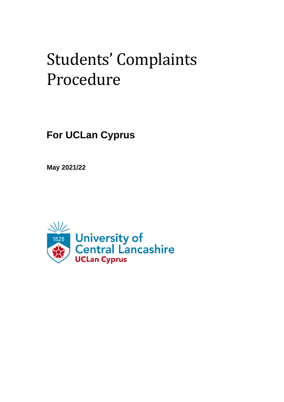# Students' Complaints Procedure

**For UCLan Cyprus**

**May 2021/22**

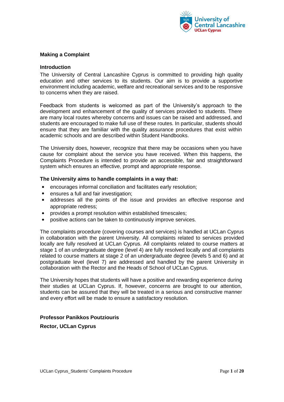

# **Making a Complaint**

# **Introduction**

The University of Central Lancashire Cyprus is committed to providing high quality education and other services to its students. Our aim is to provide a supportive environment including academic, welfare and recreational services and to be responsive to concerns when they are raised.

Feedback from students is welcomed as part of the University's approach to the development and enhancement of the quality of services provided to students. There are many local routes whereby concerns and issues can be raised and addressed, and students are encouraged to make full use of these routes. In particular, students should ensure that they are familiar with the quality assurance procedures that exist within academic schools and are described within Student Handbooks.

The University does, however, recognize that there may be occasions when you have cause for complaint about the service you have received. When this happens, the Complaints Procedure is intended to provide an accessible, fair and straightforward system which ensures an effective, prompt and appropriate response.

# **The University aims to handle complaints in a way that:**

- encourages informal conciliation and facilitates early resolution;
- ensures a full and fair investigation;
- addresses all the points of the issue and provides an effective response and appropriate redress;
- provides a prompt resolution within established timescales;
- positive actions can be taken to continuously improve services.

The complaints procedure (covering courses and services) is handled at UCLan Cyprus in collaboration with the parent University. All complaints related to services provided locally are fully resolved at UCLan Cyprus. All complaints related to course matters at stage 1 of an undergraduate degree (level 4) are fully resolved locally and all complaints related to course matters at stage 2 of an undergraduate degree (levels 5 and 6) and at postgraduate level (level 7) are addressed and handled by the parent University in collaboration with the Rector and the Heads of School of UCLan Cyprus.

The University hopes that students will have a positive and rewarding experience during their studies at UCLan Cyprus. If, however, concerns are brought to our attention, students can be assured that they will be treated in a serious and constructive manner and every effort will be made to ensure a satisfactory resolution.

# **Professor Panikkos Poutziouris**

**Rector, UCLan Cyprus**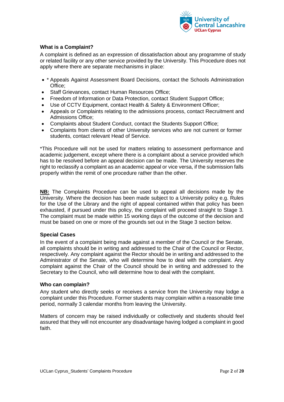

# **What is a Complaint?**

A complaint is defined as an expression of dissatisfaction about any programme of study or related facility or any other service provided by the University. This Procedure does not apply where there are separate mechanisms in place:

- \* Appeals Against Assessment Board Decisions, contact the Schools Administration Office;
- Staff Grievances, contact Human Resources Office;
- Freedom of Information or Data Protection, contact Student Support Office;
- Use of CCTV Equipment, contact Health & Safety & Environment Officer;
- Appeals or Complaints relating to the admissions process, contact Recruitment and Admissions Office;
- Complaints about Student Conduct, contact the Students Support Office;
- Complaints from clients of other University services who are not current or former students, contact relevant Head of Service.

\*This Procedure will not be used for matters relating to assessment performance and academic judgement, except where there is a complaint about a service provided which has to be resolved before an appeal decision can be made. The University reserves the right to reclassify a complaint as an academic appeal or vice versa, if the submission falls properly within the remit of one procedure rather than the other.

**NB:** The Complaints Procedure can be used to appeal all decisions made by the University. Where the decision has been made subject to a University policy e.g. Rules for the Use of the Library and the right of appeal contained within that policy has been exhausted, if pursued under this policy, the complaint will proceed straight to Stage 3. The complaint must be made within 15 working days of the outcome of the decision and must be based on one or more of the grounds set out in the Stage 3 section below.

# **Special Cases**

In the event of a complaint being made against a member of the Council or the Senate, all complaints should be in writing and addressed to the Chair of the Council or Rector, respectively. Any complaint against the Rector should be in writing and addressed to the Administrator of the Senate, who will determine how to deal with the complaint. Any complaint against the Chair of the Council should be in writing and addressed to the Secretary to the Council, who will determine how to deal with the complaint.

# **Who can complain?**

Any student who directly seeks or receives a service from the University may lodge a complaint under this Procedure. Former students may complain within a reasonable time period, normally 3 calendar months from leaving the University.

Matters of concern may be raised individually or collectively and students should feel assured that they will not encounter any disadvantage having lodged a complaint in good faith.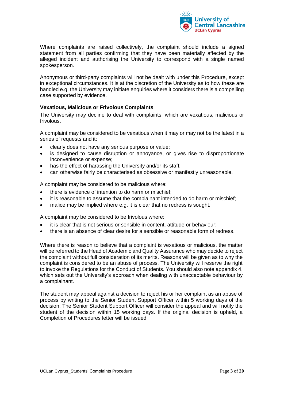

Where complaints are raised collectively, the complaint should include a signed statement from all parties confirming that they have been materially affected by the alleged incident and authorising the University to correspond with a single named spokesperson.

Anonymous or third-party complaints will not be dealt with under this Procedure, except in exceptional circumstances. It is at the discretion of the University as to how these are handled e.g. the University may initiate enquiries where it considers there is a compelling case supported by evidence.

# **Vexatious, Malicious or Frivolous Complaints**

The University may decline to deal with complaints, which are vexatious, malicious or frivolous.

A complaint may be considered to be vexatious when it may or may not be the latest in a series of requests and it:

- clearly does not have any serious purpose or value;
- is designed to cause disruption or annoyance, or gives rise to disproportionate inconvenience or expense;
- has the effect of harassing the University and/or its staff;
- can otherwise fairly be characterised as obsessive or manifestly unreasonable.

A complaint may be considered to be malicious where:

- there is evidence of intention to do harm or mischief;
- it is reasonable to assume that the complainant intended to do harm or mischief;
- malice may be implied where e.g. it is clear that no redress is sought.

A complaint may be considered to be frivolous where:

- it is clear that is not serious or sensible in content, attitude or behaviour;
- there is an absence of clear desire for a sensible or reasonable form of redress.

Where there is reason to believe that a complaint is vexatious or malicious, the matter will be referred to the Head of Academic and Quality Assurance who may decide to reject the complaint without full consideration of its merits. Reasons will be given as to why the complaint is considered to be an abuse of process. The University will reserve the right to invoke the Regulations for the Conduct of Students. You should also note appendix 4, which sets out the University's approach when dealing with unacceptable behaviour by a complainant.

The student may appeal against a decision to reject his or her complaint as an abuse of process by writing to the Senior Student Support Officer within 5 working days of the decision. The Senior Student Support Officer will consider the appeal and will notify the student of the decision within 15 working days. If the original decision is upheld, a Completion of Procedures letter will be issued.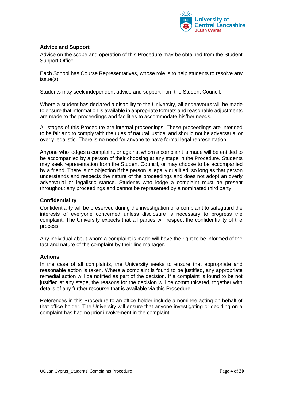

# **Advice and Support**

Advice on the scope and operation of this Procedure may be obtained from the Student Support Office.

Each School has Course Representatives, whose role is to help students to resolve any issue(s).

Students may seek independent advice and support from the Student Council.

Where a student has declared a disability to the University, all endeavours will be made to ensure that information is available in appropriate formats and reasonable adjustments are made to the proceedings and facilities to accommodate his/her needs.

All stages of this Procedure are internal proceedings. These proceedings are intended to be fair and to comply with the rules of natural justice, and should not be adversarial or overly legalistic. There is no need for anyone to have formal legal representation.

Anyone who lodges a complaint, or against whom a complaint is made will be entitled to be accompanied by a person of their choosing at any stage in the Procedure. Students may seek representation from the Student Council, or may choose to be accompanied by a friend. There is no objection if the person is legally qualified, so long as that person understands and respects the nature of the proceedings and does not adopt an overly adversarial or legalistic stance. Students who lodge a complaint must be present throughout any proceedings and cannot be represented by a nominated third party.

#### **Confidentiality**

Confidentiality will be preserved during the investigation of a complaint to safeguard the interests of everyone concerned unless disclosure is necessary to progress the complaint. The University expects that all parties will respect the confidentiality of the process.

Any individual about whom a complaint is made will have the right to be informed of the fact and nature of the complaint by their line manager.

# **Actions**

In the case of all complaints, the University seeks to ensure that appropriate and reasonable action is taken. Where a complaint is found to be justified, any appropriate remedial action will be notified as part of the decision. If a complaint is found to be not justified at any stage, the reasons for the decision will be communicated, together with details of any further recourse that is available via this Procedure.

References in this Procedure to an office holder include a nominee acting on behalf of that office holder. The University will ensure that anyone investigating or deciding on a complaint has had no prior involvement in the complaint.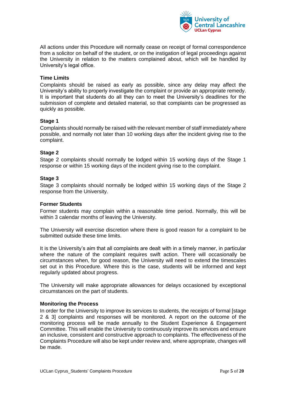

All actions under this Procedure will normally cease on receipt of formal correspondence from a solicitor on behalf of the student, or on the instigation of legal proceedings against the University in relation to the matters complained about, which will be handled by University's legal office.

# **Time Limits**

Complaints should be raised as early as possible, since any delay may affect the University's ability to properly investigate the complaint or provide an appropriate remedy. It is important that students do all they can to meet the University's deadlines for the submission of complete and detailed material, so that complaints can be progressed as quickly as possible.

# **Stage 1**

Complaints should normally be raised with the relevant member of staff immediately where possible, and normally not later than 10 working days after the incident giving rise to the complaint.

# **Stage 2**

Stage 2 complaints should normally be lodged within 15 working days of the Stage 1 response or within 15 working days of the incident giving rise to the complaint.

# **Stage 3**

Stage 3 complaints should normally be lodged within 15 working days of the Stage 2 response from the University.

# **Former Students**

Former students may complain within a reasonable time period. Normally, this will be within 3 calendar months of leaving the University.

The University will exercise discretion where there is good reason for a complaint to be submitted outside these time limits.

It is the University's aim that all complaints are dealt with in a timely manner, in particular where the nature of the complaint requires swift action. There will occasionally be circumstances when, for good reason, the University will need to extend the timescales set out in this Procedure. Where this is the case, students will be informed and kept regularly updated about progress.

The University will make appropriate allowances for delays occasioned by exceptional circumstances on the part of students.

# **Monitoring the Process**

In order for the University to improve its services to students, the receipts of formal [stage 2 & 3] complaints and responses will be monitored. A report on the outcome of the monitoring process will be made annually to the Student Experience & Engagement Committee. This will enable the University to continuously improve its services and ensure an inclusive, consistent and constructive approach to complaints. The effectiveness of the Complaints Procedure will also be kept under review and, where appropriate, changes will be made.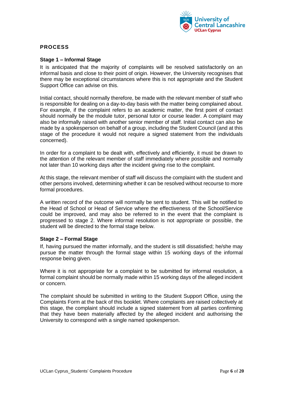

# **PROCESS**

# **Stage 1 – Informal Stage**

It is anticipated that the majority of complaints will be resolved satisfactorily on an informal basis and close to their point of origin. However, the University recognises that there may be exceptional circumstances where this is not appropriate and the Student Support Office can advise on this.

Initial contact, should normally therefore, be made with the relevant member of staff who is responsible for dealing on a day-to-day basis with the matter being complained about. For example, if the complaint refers to an academic matter, the first point of contact should normally be the module tutor, personal tutor or course leader. A complaint may also be informally raised with another senior member of staff. Initial contact can also be made by a spokesperson on behalf of a group, including the Student Council (and at this stage of the procedure it would not require a signed statement from the individuals concerned).

In order for a complaint to be dealt with, effectively and efficiently, it must be drawn to the attention of the relevant member of staff immediately where possible and normally not later than 10 working days after the incident giving rise to the complaint.

At this stage, the relevant member of staff will discuss the complaint with the student and other persons involved, determining whether it can be resolved without recourse to more formal procedures.

A written record of the outcome will normally be sent to student. This will be notified to the Head of School or Head of Service where the effectiveness of the School/Service could be improved, and may also be referred to in the event that the complaint is progressed to stage 2. Where informal resolution is not appropriate or possible, the student will be directed to the formal stage below.

# **Stage 2 – Formal Stage**

If, having pursued the matter informally, and the student is still dissatisfied; he/she may pursue the matter through the formal stage within 15 working days of the informal response being given.

Where it is not appropriate for a complaint to be submitted for informal resolution, a formal complaint should be normally made within 15 working days of the alleged incident or concern.

The complaint should be submitted in writing to the Student Support Office, using the Complaints Form at the back of this booklet. Where complaints are raised collectively at this stage, the complaint should include a signed statement from all parties confirming that they have been materially affected by the alleged incident and authorising the University to correspond with a single named spokesperson.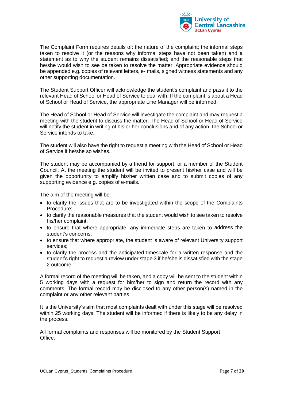

The Complaint Form requires details of: the nature of the complaint; the informal steps taken to resolve it (or the reasons why informal steps have not been taken) and a statement as to why the student remains dissatisfied; and the reasonable steps that he/she would wish to see be taken to resolve the matter. Appropriate evidence should be appended e.g. copies of relevant letters, e- mails, signed witness statements and any other supporting documentation.

The Student Support Officer will acknowledge the student's complaint and pass it to the relevant Head of School or Head of Service to deal with. If the complaint is about a Head of School or Head of Service, the appropriate Line Manager will be informed.

The Head of School or Head of Service will investigate the complaint and may request a meeting with the student to discuss the matter. The Head of School or Head of Service will notify the student in writing of his or her conclusions and of any action, the School or Service intends to take.

The student will also have the right to request a meeting with the Head of School or Head of Service if he/she so wishes.

The student may be accompanied by a friend for support, or a member of the Student Council. At the meeting the student will be invited to present his/her case and will be given the opportunity to amplify his/her written case and to submit copies of any supporting evidence e.g. copies of e-mails.

The aim of the meeting will be:

- to clarify the issues that are to be investigated within the scope of the Complaints Procedure;
- to clarify the reasonable measures that the student would wish to see taken to resolve his/her complaint;
- to ensure that where appropriate, any immediate steps are taken to address the student's concerns;
- to ensure that where appropriate, the student is aware of relevant University support services;
- to clarify the process and the anticipated timescale for a written response and the student's right to request a review under stage 3 if he/she is dissatisfied with the stage 2 outcome.

A formal record of the meeting will be taken, and a copy will be sent to the student within 5 working days with a request for him/her to sign and return the record with any comments. The formal record may be disclosed to any other person(s) named in the complaint or any other relevant parties.

It is the University's aim that most complaints dealt with under this stage will be resolved within 25 working days. The student will be informed if there is likely to be any delay in the process.

All formal complaints and responses will be monitored by the Student Support Office.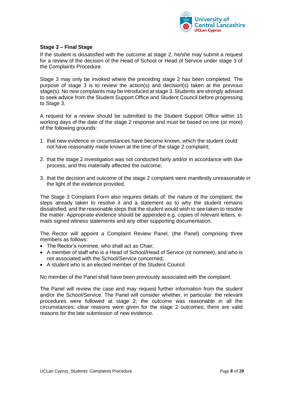

# **Stage 3 – Final Stage**

If the student is dissatisfied with the outcome at stage 2, he/she may submit a request for a review of the decision of the Head of School or Head of Service under stage 3 of the Complaints Procedure.

Stage 3 may only be invoked where the preceding stage 2 has been completed. The purpose of stage 3 is to review the action(s) and decision(s) taken at the previous stage(s). No new complaints may be introduced at stage 3. Students are strongly advised to seek advice from the Student Support Office and Student Council before progressing to Stage 3.

A request for a review should be submitted to the Student Support Office within 15 working days of the date of the stage 2 response and must be based on one (or more) of the following grounds:

- 1. that new evidence or circumstances have become known, which the student could not have reasonably made known at the time of the stage 2 complaint;
- 2. that the stage 2 investigation was not conducted fairly and/or in accordance with due process, and this materially affected the outcome;
- 3. that the decision and outcome of the stage 2 complaint were manifestly unreasonable in the light of the evidence provided.

The Stage 3 Complaint Form also requires details of: the nature of the complaint; the steps already taken to resolve it and a statement as to why the student remains dissatisfied; and the reasonable steps that the student would wish to see taken to resolve the matter. Appropriate evidence should be appended e.g. copies of relevant letters, emails signed witness statements and any other supporting documentation.

The Rector will appoint a Complaint Review Panel, (the Panel) comprising three members as follows:

- The Rector's nominee, who shall act as Chair;
- A member of staff who is a Head of School/Head of Service (or nominee), and who is not associated with the School/Service concerned;
- A student who is an elected member of the Student Council.

No member of the Panel shall have been previously associated with the complaint.

The Panel will review the case and may request further information from the student and/or the School/Service. The Panel will consider whether, in particular: the relevant procedures were followed at stage 2; the outcome was reasonable in all the circumstances; clear reasons were given for the stage 2 outcomes; there are valid reasons for the late submission of new evidence.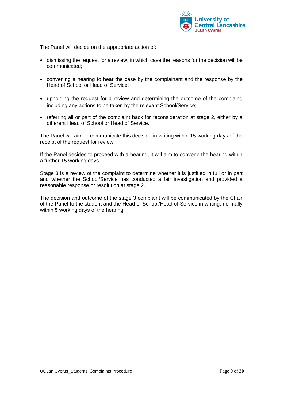

The Panel will decide on the appropriate action of:

- dismissing the request for a review, in which case the reasons for the decision will be communicated;
- convening a hearing to hear the case by the complainant and the response by the Head of School or Head of Service;
- upholding the request for a review and determining the outcome of the complaint, including any actions to be taken by the relevant School/Service;
- referring all or part of the complaint back for reconsideration at stage 2, either by a different Head of School or Head of Service.

The Panel will aim to communicate this decision in writing within 15 working days of the receipt of the request for review.

If the Panel decides to proceed with a hearing, it will aim to convene the hearing within a further 15 working days.

Stage 3 is a review of the complaint to determine whether it is justified in full or in part and whether the School/Service has conducted a fair investigation and provided a reasonable response or resolution at stage 2.

The decision and outcome of the stage 3 complaint will be communicated by the Chair of the Panel to the student and the Head of School/Head of Service in writing, normally within 5 working days of the hearing.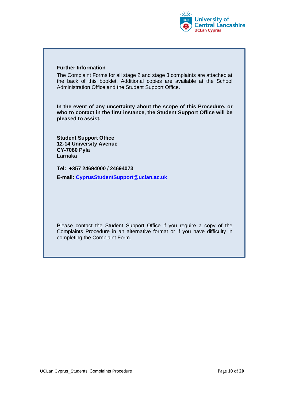

# **Further Information**

The Complaint Forms for all stage 2 and stage 3 complaints are attached at the back of this booklet. Additional copies are available at the School Administration Office and the Student Support Office.

**In the event of any uncertainty about the scope of this Procedure, or who to contact in the first instance, the Student Support Office will be pleased to assist.**

**Student Support Office 12-14 University Avenue CY-7080 Pyla Larnaka**

**Tel: +357 24694000 / 24694073**

**E-mail: [CyprusStudentSupport@uclan.ac.uk](mailto:CyprusStudentSupport@uclan.ac.uk)**

Please contact the Student Support Office if you require a copy of the Complaints Procedure in an alternative format or if you have difficulty in completing the Complaint Form.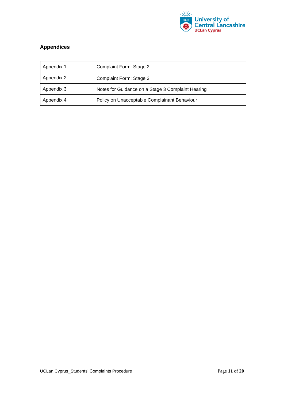

# **Appendices**

| Appendix 1 | Complaint Form: Stage 2                           |
|------------|---------------------------------------------------|
| Appendix 2 | Complaint Form: Stage 3                           |
| Appendix 3 | Notes for Guidance on a Stage 3 Complaint Hearing |
| Appendix 4 | Policy on Unacceptable Complainant Behaviour      |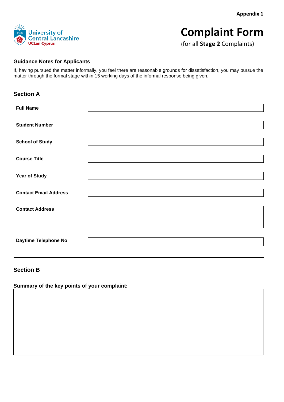**Appendix 1**



# **Complaint Form**

(for all **Stage 2** Complaints)

# **Guidance Notes for Applicants**

If, having pursued the matter informally, you feel there are reasonable grounds for dissatisfaction, you may pursue the matter through the formal stage within 15 working days of the informal response being given.

| <b>Section A</b>             |  |
|------------------------------|--|
| <b>Full Name</b>             |  |
| <b>Student Number</b>        |  |
| <b>School of Study</b>       |  |
| <b>Course Title</b>          |  |
| <b>Year of Study</b>         |  |
| <b>Contact Email Address</b> |  |
| <b>Contact Address</b>       |  |
|                              |  |
| Daytime Telephone No         |  |

# **Section B**

**Summary of the key points of your complaint:**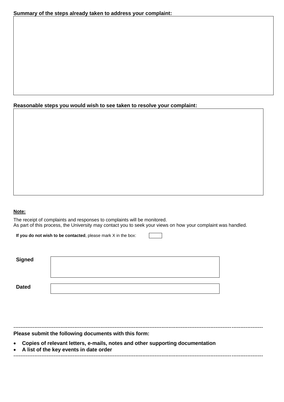# **Reasonable steps you would wish to see taken to resolve your complaint:**

# **Note:**

The receipt of complaints and responses to complaints will be monitored. As part of this process, the University may contact you to seek your views on how your complaint was handled.

**If you do not wish to be contacted**, please mark X in the box:

| <b>Signed</b> |  |
|---------------|--|
|               |  |
| <b>Dated</b>  |  |

----------------------------------------------------------------------------------------------------------------------------------------------- **Please submit the following documents with this form:**

• **Copies of relevant letters, e-mails, notes and other supporting documentation**

• **A list of the key events in date order** -----------------------------------------------------------------------------------------------------------------------------------------------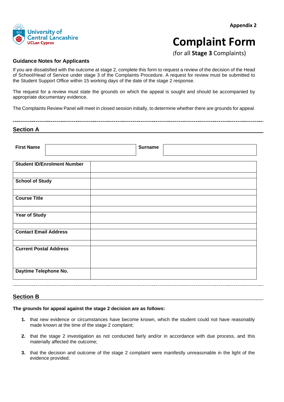

# **Appendix 2**

# **Complaint Form**

(for all **Stage 3** Complaints)

# **Guidance Notes for Applicants**

If you are dissatisfied with the outcome at stage 2, complete this form to request a review of the decision of the Head of School/Head of Service under stage 3 of the Complaints Procedure. A request for review must be submitted to the Student Support Office within 15 working days of the date of the stage 2 response.

The request for a review must state the grounds on which the appeal is sought and should be accompanied by appropriate documentary evidence.

The Complaints Review Panel will meet in closed session initially, to determine whether there are grounds for appeal.

# **Section A**

| <b>First Name</b>                  | <b>Surname</b> |
|------------------------------------|----------------|
| <b>Student ID/Enrolment Number</b> |                |
| <b>School of Study</b>             |                |
| <b>Course Title</b>                |                |
| <b>Year of Study</b>               |                |
| <b>Contact Email Address</b>       |                |
| <b>Current Postal Address</b>      |                |
| Daytime Telephone No.              |                |
|                                    |                |

# **Section B**

#### **The grounds for appeal against the stage 2 decision are as follows:**

- **1.** that new evidence or circumstances have become known, which the student could not have reasonably made known at the time of the stage 2 complaint;
- **2.** that the stage 2 investigation as not conducted fairly and/or in accordance with due process, and this materially affected the outcome;
- **3.** that the decision and outcome of the stage 2 complaint were manifestly unreasonable in the light of the evidence provided.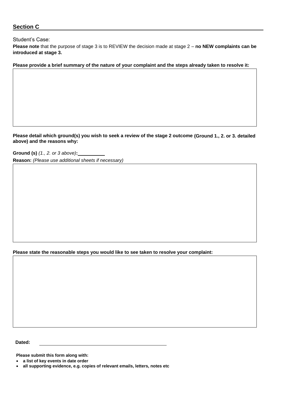# **Section C**

# Student's Case:

**Please note** that the purpose of stage 3 is to REVIEW the decision made at stage 2 – **no NEW complaints can be introduced at stage 3.**

**Please provide a brief summary of the nature of your complaint and the steps already taken to resolve it:**

**Please detail which ground(s) you wish to seek a review of the stage 2 outcome (Ground 1., 2. or 3. detailed above) and the reasons why:**

**Ground (s)** *(1., 2. or 3 above)***: Reason:** *(Please use additional sheets if necessary)*

**Please state the reasonable steps you would like to see taken to resolve your complaint:**

**Dated:**

**Please submit this form along with:**

• **a list of key events in date order**

<sup>•</sup> **all supporting evidence, e.g. copies of relevant emails, letters, notes etc**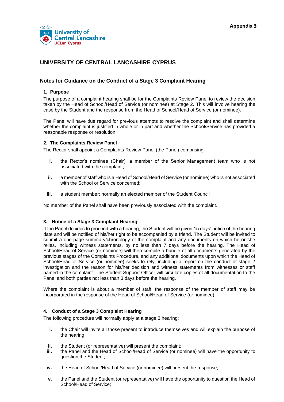

# **UNIVERSITY OF CENTRAL LANCASHIRE CYPRUS**

# **Notes for Guidance on the Conduct of a Stage 3 Complaint Hearing**

# **1. Purpose**

The purpose of a complaint hearing shall be for the Complaints Review Panel to review the decision taken by the Head of School/Head of Service (or nominee) at Stage 2. This will involve hearing the case by the Student and the response from the Head of School/Head of Service (or nominee).

The Panel will have due regard for previous attempts to resolve the complaint and shall determine whether the complaint is justified in whole or in part and whether the School/Service has provided a reasonable response or resolution.

#### **2. The Complaints Review Panel**

The Rector shall appoint a Complaints Review Panel (the Panel) comprising:

- **i.** the Rector's nominee (Chair): a member of the Senior Management team who is not associated with the complaint;
- **ii.** a member of staff who is a Head of School/Head of Service (or nominee) who is not associated with the School or Service concerned;
- **iii.** a student member: normally an elected member of the Student Council

No member of the Panel shall have been previously associated with the complaint.

# **3. Notice of a Stage 3 Complaint Hearing**

If the Panel decides to proceed with a hearing, the Student will be given 15 days' notice of the hearing date and will be notified of his/her right to be accompanied by a friend. The Student will be invited to submit a one-page summary/chronology of the complaint and any documents on which he or she relies, including witness statements, by no less than 7 days before the hearing. The Head of School/Head of Service (or nominee) will then compile a bundle of all documents generated by the previous stages of the Complaints Procedure, and any additional documents upon which the Head of School/Head of Service (or nominee) seeks to rely, including a report on the conduct of stage 2 investigation and the reason for his/her decision and witness statements from witnesses or staff named in the complaint. The Student Support Officer will circulate copies of all documentation to the Panel and both parties not less than 3 days before the hearing.

Where the complaint is about a member of staff, the response of the member of staff may be incorporated in the response of the Head of School/Head of Service (or nominee).

# **4. Conduct of a Stage 3 Complaint Hearing**

The following procedure will normally apply at a stage 3 hearing:

- **i.** the Chair will invite all those present to introduce themselves and will explain the purpose of the hearing;
- **ii.** the Student (or representative) will present the complaint;
- **iii.** the Panel and the Head of School/Head of Service (or nominee) will have the opportunity to question the Student;
- **iv.** the Head of School/Head of Service (or nominee) will present the response;
- **v.** the Panel and the Student (or representative) will have the opportunity to question the Head of School/Head of Service;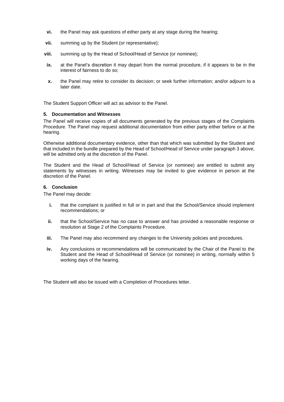- **vi.** the Panel may ask questions of either party at any stage during the hearing;
- **vii.** summing up by the Student (or representative);
- **viii.** summing up by the Head of School/Head of Service (or nominee);
- **ix.** at the Panel's discretion it may depart from the normal procedure, if it appears to be in the interest of fairness to do so;
- **x.** the Panel may retire to consider its decision; or seek further information; and/or adjourn to a later date.

The Student Support Officer will act as advisor to the Panel.

#### **5. Documentation and Witnesses**

The Panel will receive copies of all documents generated by the previous stages of the Complaints Procedure. The Panel may request additional documentation from either party either before or at the hearing.

Otherwise additional documentary evidence, other than that which was submitted by the Student and that included in the bundle prepared by the Head of School/Head of Service under paragraph 3 above, will be admitted only at the discretion of the Panel.

The Student and the Head of School/Head of Service (or nominee) are entitled to submit any statements by witnesses in writing. Witnesses may be invited to give evidence in person at the discretion of the Panel.

#### **6. Conclusion**

The Panel may decide:

- **i.** that the complaint is justified in full or in part and that the School/Service should implement recommendations; or
- **ii.** that the School/Service has no case to answer and has provided a reasonable response or resolution at Stage 2 of the Complaints Procedure.
- **iii.** The Panel may also recommend any changes to the University policies and procedures.
- **iv.** Any conclusions or recommendations will be communicated by the Chair of the Panel to the Student and the Head of School/Head of Service (or nominee) in writing, normally within 5 working days of the hearing.

The Student will also be issued with a Completion of Procedures letter.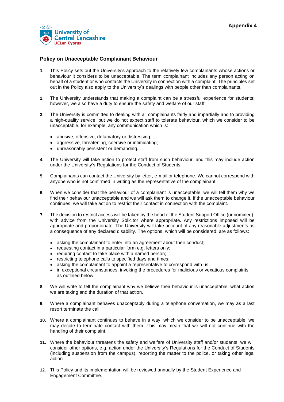

# **Policy on Unacceptable Complainant Behaviour**

- **1.** This Policy sets out the University's approach to the relatively few complainants whose actions or behaviour it considers to be unacceptable. The term complainant includes any person acting on behalf of a student or who contacts the University in connection with a complaint. The principles set out in the Policy also apply to the University's dealings with people other than complainants.
- **2.** The University understands that making a complaint can be a stressful experience for students; however, we also have a duty to ensure the safety and welfare of our staff.
- **3.** The University is committed to dealing with all complainants fairly and impartially and to providing a high-quality service, but we do not expect staff to tolerate behaviour, which we consider to be unacceptable, for example, any communication which is:
	- abusive, offensive, defamatory or distressing;
	- aggressive, threatening, coercive or intimidating;
	- unreasonably persistent or demanding.
- **4.** The University will take action to protect staff from such behaviour, and this may include action under the University's Regulations for the Conduct of Students.
- **5.** Complainants can contact the University by letter, e-mail or telephone. We cannot correspond with anyone who is not confirmed in writing as the representative of the complainant.
- **6.** When we consider that the behaviour of a complainant is unacceptable, we will tell them why we find their behaviour unacceptable and we will ask them to change it. If the unacceptable behaviour continues, we will take action to restrict their contact in connection with the complaint.
- **7.** The decision to restrict access will be taken by the head of the Student Support Office (or nominee), with advice from the University Solicitor where appropriate. Any restrictions imposed will be appropriate and proportionate. The University will take account of any reasonable adjustments as a consequence of any declared disability. The options, which will be considered, are as follows:
	- asking the complainant to enter into an agreement about their conduct;
	- requesting contact in a particular form e.g. letters only;
	- requiring contact to take place with a named person;
	- restricting telephone calls to specified days and times;
	- asking the complainant to appoint a representative to correspond with us;
	- in exceptional circumstances, invoking the procedures for malicious or vexatious complaints as outlined below.
- **8.** We will write to tell the complainant why we believe their behaviour is unacceptable, what action we are taking and the duration of that action.
- **9.** Where a complainant behaves unacceptably during a telephone conversation, we may as a last resort terminate the call.
- **10.** Where a complainant continues to behave in a way, which we consider to be unacceptable, we may decide to terminate contact with them. This may mean that we will not continue with the handling of their complaint.
- **11.** Where the behaviour threatens the safety and welfare of University staff and/or students, we will consider other options, e.g. action under the University's Regulations for the Conduct of Students (including suspension from the campus), reporting the matter to the police, or taking other legal action.
- **12.** This Policy and its implementation will be reviewed annually by the Student Experience and Engagement Committee.